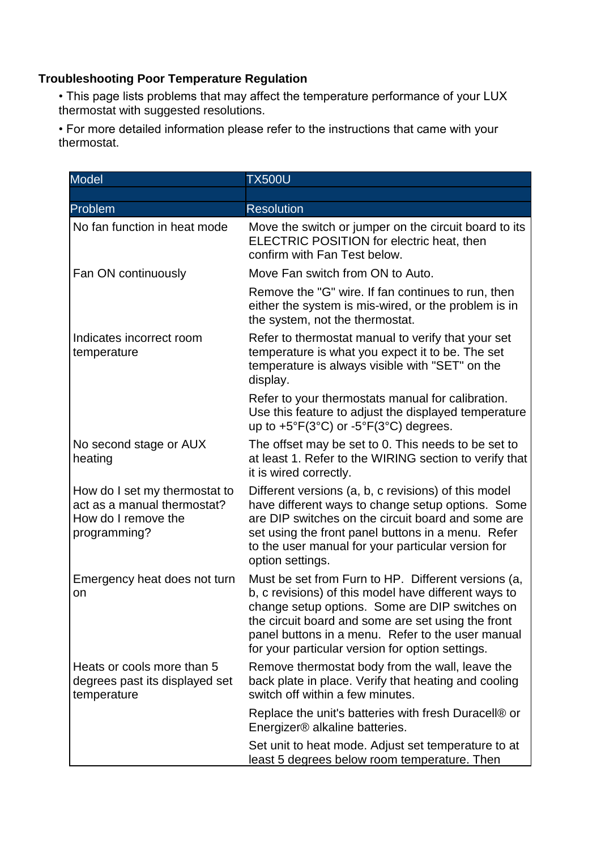## **Troubleshooting Poor Temperature Regulation**

• This page lists problems that may affect the temperature performance of your LUX thermostat with suggested resolutions.

• For more detailed information please refer to the instructions that came with your thermostat.

| <b>Model</b>                                                                                        | <b>TX500U</b>                                                                                                                                                                                                                                                                                                                |
|-----------------------------------------------------------------------------------------------------|------------------------------------------------------------------------------------------------------------------------------------------------------------------------------------------------------------------------------------------------------------------------------------------------------------------------------|
|                                                                                                     |                                                                                                                                                                                                                                                                                                                              |
| Problem                                                                                             | <b>Resolution</b>                                                                                                                                                                                                                                                                                                            |
| No fan function in heat mode                                                                        | Move the switch or jumper on the circuit board to its<br>ELECTRIC POSITION for electric heat, then<br>confirm with Fan Test below.                                                                                                                                                                                           |
| Fan ON continuously                                                                                 | Move Fan switch from ON to Auto.                                                                                                                                                                                                                                                                                             |
|                                                                                                     | Remove the "G" wire. If fan continues to run, then<br>either the system is mis-wired, or the problem is in<br>the system, not the thermostat.                                                                                                                                                                                |
| Indicates incorrect room<br>temperature                                                             | Refer to thermostat manual to verify that your set<br>temperature is what you expect it to be. The set<br>temperature is always visible with "SET" on the<br>display.                                                                                                                                                        |
|                                                                                                     | Refer to your thermostats manual for calibration.<br>Use this feature to adjust the displayed temperature<br>up to $+5^{\circ}F(3^{\circ}C)$ or $-5^{\circ}F(3^{\circ}C)$ degrees.                                                                                                                                           |
| No second stage or AUX<br>heating                                                                   | The offset may be set to 0. This needs to be set to<br>at least 1. Refer to the WIRING section to verify that<br>it is wired correctly.                                                                                                                                                                                      |
| How do I set my thermostat to<br>act as a manual thermostat?<br>How do I remove the<br>programming? | Different versions (a, b, c revisions) of this model<br>have different ways to change setup options. Some<br>are DIP switches on the circuit board and some are<br>set using the front panel buttons in a menu. Refer<br>to the user manual for your particular version for<br>option settings.                              |
| Emergency heat does not turn<br>on                                                                  | Must be set from Furn to HP. Different versions (a,<br>b, c revisions) of this model have different ways to<br>change setup options. Some are DIP switches on<br>the circuit board and some are set using the front<br>panel buttons in a menu. Refer to the user manual<br>for your particular version for option settings. |
| Heats or cools more than 5<br>degrees past its displayed set<br>temperature                         | Remove thermostat body from the wall, leave the<br>back plate in place. Verify that heating and cooling<br>switch off within a few minutes.                                                                                                                                                                                  |
|                                                                                                     | Replace the unit's batteries with fresh Duracell® or<br>Energizer® alkaline batteries.                                                                                                                                                                                                                                       |
|                                                                                                     | Set unit to heat mode. Adjust set temperature to at<br>least 5 degrees below room temperature. Then                                                                                                                                                                                                                          |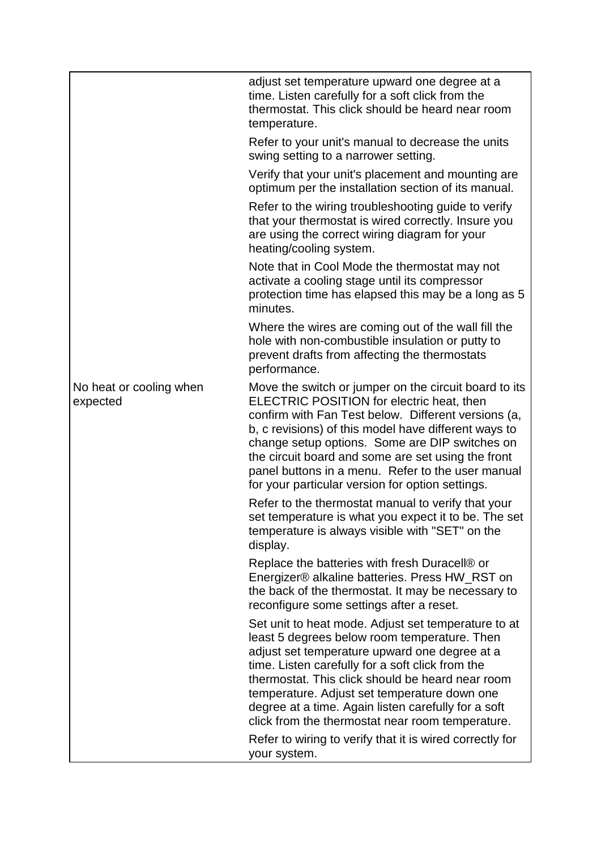|                                     | adjust set temperature upward one degree at a<br>time. Listen carefully for a soft click from the<br>thermostat. This click should be heard near room<br>temperature.                                                                                                                                                                                                                                                              |
|-------------------------------------|------------------------------------------------------------------------------------------------------------------------------------------------------------------------------------------------------------------------------------------------------------------------------------------------------------------------------------------------------------------------------------------------------------------------------------|
|                                     | Refer to your unit's manual to decrease the units<br>swing setting to a narrower setting.                                                                                                                                                                                                                                                                                                                                          |
|                                     | Verify that your unit's placement and mounting are<br>optimum per the installation section of its manual.                                                                                                                                                                                                                                                                                                                          |
|                                     | Refer to the wiring troubleshooting guide to verify<br>that your thermostat is wired correctly. Insure you<br>are using the correct wiring diagram for your<br>heating/cooling system.                                                                                                                                                                                                                                             |
|                                     | Note that in Cool Mode the thermostat may not<br>activate a cooling stage until its compressor<br>protection time has elapsed this may be a long as 5<br>minutes.                                                                                                                                                                                                                                                                  |
|                                     | Where the wires are coming out of the wall fill the<br>hole with non-combustible insulation or putty to<br>prevent drafts from affecting the thermostats<br>performance.                                                                                                                                                                                                                                                           |
| No heat or cooling when<br>expected | Move the switch or jumper on the circuit board to its<br>ELECTRIC POSITION for electric heat, then<br>confirm with Fan Test below. Different versions (a,<br>b, c revisions) of this model have different ways to<br>change setup options. Some are DIP switches on<br>the circuit board and some are set using the front<br>panel buttons in a menu. Refer to the user manual<br>for your particular version for option settings. |
|                                     | Refer to the thermostat manual to verify that your<br>set temperature is what you expect it to be. The set<br>temperature is always visible with "SET" on the<br>display.                                                                                                                                                                                                                                                          |
|                                     | Replace the batteries with fresh Duracell® or<br>Energizer® alkaline batteries. Press HW_RST on<br>the back of the thermostat. It may be necessary to<br>reconfigure some settings after a reset.                                                                                                                                                                                                                                  |
|                                     | Set unit to heat mode. Adjust set temperature to at<br>least 5 degrees below room temperature. Then<br>adjust set temperature upward one degree at a<br>time. Listen carefully for a soft click from the<br>thermostat. This click should be heard near room<br>temperature. Adjust set temperature down one<br>degree at a time. Again listen carefully for a soft<br>click from the thermostat near room temperature.            |
|                                     | Refer to wiring to verify that it is wired correctly for<br>your system.                                                                                                                                                                                                                                                                                                                                                           |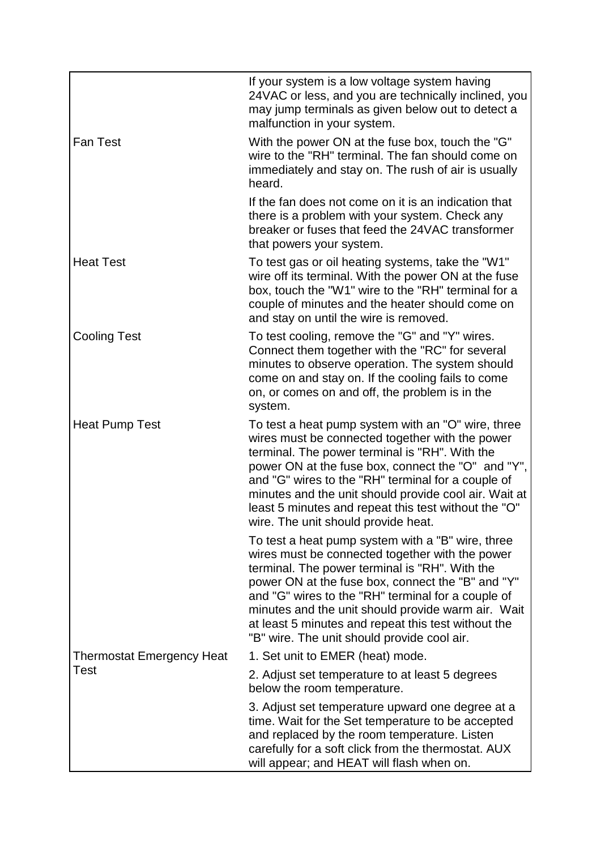|                                  | If your system is a low voltage system having<br>24VAC or less, and you are technically inclined, you<br>may jump terminals as given below out to detect a<br>malfunction in your system.                                                                                                                                                                                                                                     |
|----------------------------------|-------------------------------------------------------------------------------------------------------------------------------------------------------------------------------------------------------------------------------------------------------------------------------------------------------------------------------------------------------------------------------------------------------------------------------|
| <b>Fan Test</b>                  | With the power ON at the fuse box, touch the "G"<br>wire to the "RH" terminal. The fan should come on<br>immediately and stay on. The rush of air is usually<br>heard.                                                                                                                                                                                                                                                        |
|                                  | If the fan does not come on it is an indication that<br>there is a problem with your system. Check any<br>breaker or fuses that feed the 24VAC transformer<br>that powers your system.                                                                                                                                                                                                                                        |
| <b>Heat Test</b>                 | To test gas or oil heating systems, take the "W1"<br>wire off its terminal. With the power ON at the fuse<br>box, touch the "W1" wire to the "RH" terminal for a<br>couple of minutes and the heater should come on<br>and stay on until the wire is removed.                                                                                                                                                                 |
| <b>Cooling Test</b>              | To test cooling, remove the "G" and "Y" wires.<br>Connect them together with the "RC" for several<br>minutes to observe operation. The system should<br>come on and stay on. If the cooling fails to come<br>on, or comes on and off, the problem is in the<br>system.                                                                                                                                                        |
| <b>Heat Pump Test</b>            | To test a heat pump system with an "O" wire, three<br>wires must be connected together with the power<br>terminal. The power terminal is "RH". With the<br>power ON at the fuse box, connect the "O" and "Y",<br>and "G" wires to the "RH" terminal for a couple of<br>minutes and the unit should provide cool air. Wait at<br>least 5 minutes and repeat this test without the "O"<br>wire. The unit should provide heat.   |
|                                  | To test a heat pump system with a "B" wire, three<br>wires must be connected together with the power<br>terminal. The power terminal is "RH". With the<br>power ON at the fuse box, connect the "B" and "Y"<br>and "G" wires to the "RH" terminal for a couple of<br>minutes and the unit should provide warm air. Wait<br>at least 5 minutes and repeat this test without the<br>"B" wire. The unit should provide cool air. |
| <b>Thermostat Emergency Heat</b> | 1. Set unit to EMER (heat) mode.                                                                                                                                                                                                                                                                                                                                                                                              |
| Test                             | 2. Adjust set temperature to at least 5 degrees<br>below the room temperature.                                                                                                                                                                                                                                                                                                                                                |
|                                  | 3. Adjust set temperature upward one degree at a<br>time. Wait for the Set temperature to be accepted<br>and replaced by the room temperature. Listen<br>carefully for a soft click from the thermostat. AUX<br>will appear; and HEAT will flash when on.                                                                                                                                                                     |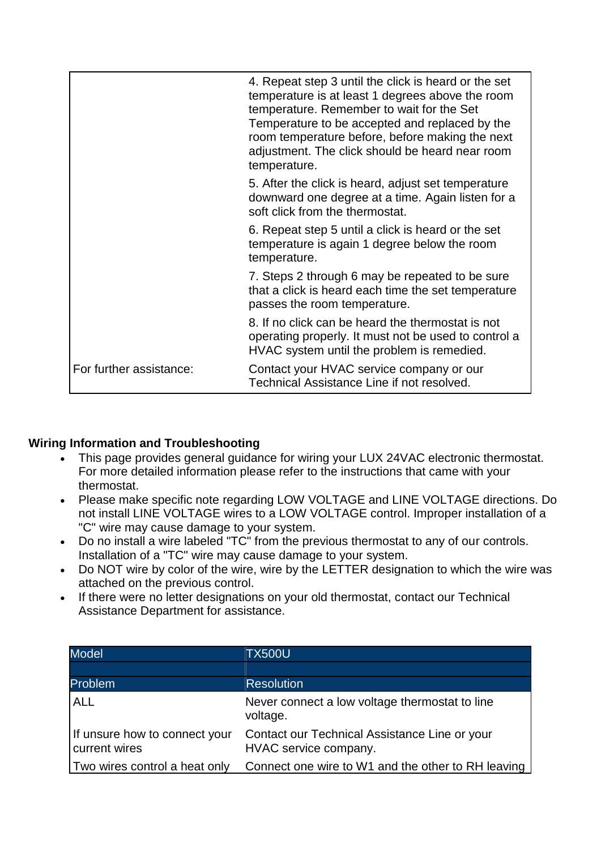|                         | 4. Repeat step 3 until the click is heard or the set<br>temperature is at least 1 degrees above the room<br>temperature. Remember to wait for the Set<br>Temperature to be accepted and replaced by the<br>room temperature before, before making the next<br>adjustment. The click should be heard near room<br>temperature. |
|-------------------------|-------------------------------------------------------------------------------------------------------------------------------------------------------------------------------------------------------------------------------------------------------------------------------------------------------------------------------|
|                         | 5. After the click is heard, adjust set temperature<br>downward one degree at a time. Again listen for a<br>soft click from the thermostat.                                                                                                                                                                                   |
|                         | 6. Repeat step 5 until a click is heard or the set<br>temperature is again 1 degree below the room<br>temperature.                                                                                                                                                                                                            |
|                         | 7. Steps 2 through 6 may be repeated to be sure<br>that a click is heard each time the set temperature<br>passes the room temperature.                                                                                                                                                                                        |
|                         | 8. If no click can be heard the thermostat is not<br>operating properly. It must not be used to control a<br>HVAC system until the problem is remedied.                                                                                                                                                                       |
| For further assistance: | Contact your HVAC service company or our<br>Technical Assistance Line if not resolved.                                                                                                                                                                                                                                        |

## **Wiring Information and Troubleshooting**

- This page provides general guidance for wiring your LUX 24VAC electronic thermostat. For more detailed information please refer to the instructions that came with your thermostat.
- Please make specific note regarding LOW VOLTAGE and LINE VOLTAGE directions. Do not install LINE VOLTAGE wires to a LOW VOLTAGE control. Improper installation of a "C" wire may cause damage to your system.
- Do no install a wire labeled "TC" from the previous thermostat to any of our controls. Installation of a "TC" wire may cause damage to your system.
- Do NOT wire by color of the wire, wire by the LETTER designation to which the wire was attached on the previous control.
- If there were no letter designations on your old thermostat, contact our Technical Assistance Department for assistance.

| <b>Model</b>                                   | <b>TX500U</b>                                                          |
|------------------------------------------------|------------------------------------------------------------------------|
|                                                |                                                                        |
| Problem                                        | <b>Resolution</b>                                                      |
| <b>ALL</b>                                     | Never connect a low voltage thermostat to line<br>voltage.             |
| If unsure how to connect your<br>current wires | Contact our Technical Assistance Line or your<br>HVAC service company. |
| Two wires control a heat only                  | Connect one wire to W1 and the other to RH leaving                     |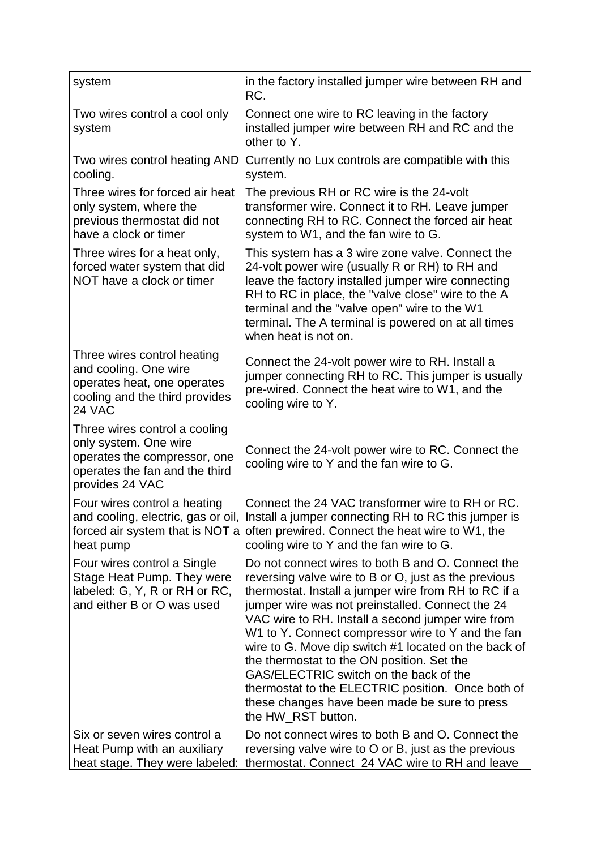| system                                                                                                                                      | in the factory installed jumper wire between RH and<br>RC.                                                                                                                                                                                                                                                                                                                                                                                                                                                                                                                                                  |
|---------------------------------------------------------------------------------------------------------------------------------------------|-------------------------------------------------------------------------------------------------------------------------------------------------------------------------------------------------------------------------------------------------------------------------------------------------------------------------------------------------------------------------------------------------------------------------------------------------------------------------------------------------------------------------------------------------------------------------------------------------------------|
| Two wires control a cool only<br>system                                                                                                     | Connect one wire to RC leaving in the factory<br>installed jumper wire between RH and RC and the<br>other to Y.                                                                                                                                                                                                                                                                                                                                                                                                                                                                                             |
| Two wires control heating AND<br>cooling.                                                                                                   | Currently no Lux controls are compatible with this<br>system.                                                                                                                                                                                                                                                                                                                                                                                                                                                                                                                                               |
| Three wires for forced air heat<br>only system, where the<br>previous thermostat did not<br>have a clock or timer                           | The previous RH or RC wire is the 24-volt<br>transformer wire. Connect it to RH. Leave jumper<br>connecting RH to RC. Connect the forced air heat<br>system to W1, and the fan wire to G.                                                                                                                                                                                                                                                                                                                                                                                                                   |
| Three wires for a heat only,<br>forced water system that did<br>NOT have a clock or timer                                                   | This system has a 3 wire zone valve. Connect the<br>24-volt power wire (usually R or RH) to RH and<br>leave the factory installed jumper wire connecting<br>RH to RC in place, the "valve close" wire to the A<br>terminal and the "valve open" wire to the W1<br>terminal. The A terminal is powered on at all times<br>when heat is not on.                                                                                                                                                                                                                                                               |
| Three wires control heating<br>and cooling. One wire<br>operates heat, one operates<br>cooling and the third provides<br>24 VAC             | Connect the 24-volt power wire to RH. Install a<br>jumper connecting RH to RC. This jumper is usually<br>pre-wired. Connect the heat wire to W1, and the<br>cooling wire to Y.                                                                                                                                                                                                                                                                                                                                                                                                                              |
| Three wires control a cooling<br>only system. One wire<br>operates the compressor, one<br>operates the fan and the third<br>provides 24 VAC | Connect the 24-volt power wire to RC. Connect the<br>cooling wire to Y and the fan wire to G.                                                                                                                                                                                                                                                                                                                                                                                                                                                                                                               |
| Four wires control a heating<br>and cooling, electric, gas or oil,<br>heat pump                                                             | Connect the 24 VAC transformer wire to RH or RC.<br>Install a jumper connecting RH to RC this jumper is<br>forced air system that is NOT a often prewired. Connect the heat wire to W1, the<br>cooling wire to Y and the fan wire to G.                                                                                                                                                                                                                                                                                                                                                                     |
| Four wires control a Single<br>Stage Heat Pump. They were<br>labeled: G, Y, R or RH or RC,<br>and either B or O was used                    | Do not connect wires to both B and O. Connect the<br>reversing valve wire to B or O, just as the previous<br>thermostat. Install a jumper wire from RH to RC if a<br>jumper wire was not preinstalled. Connect the 24<br>VAC wire to RH. Install a second jumper wire from<br>W1 to Y. Connect compressor wire to Y and the fan<br>wire to G. Move dip switch #1 located on the back of<br>the thermostat to the ON position. Set the<br>GAS/ELECTRIC switch on the back of the<br>thermostat to the ELECTRIC position. Once both of<br>these changes have been made be sure to press<br>the HW_RST button. |
| Six or seven wires control a<br>Heat Pump with an auxiliary<br>heat stage. They were labeled:                                               | Do not connect wires to both B and O. Connect the<br>reversing valve wire to O or B, just as the previous<br>thermostat. Connect 24 VAC wire to RH and leave                                                                                                                                                                                                                                                                                                                                                                                                                                                |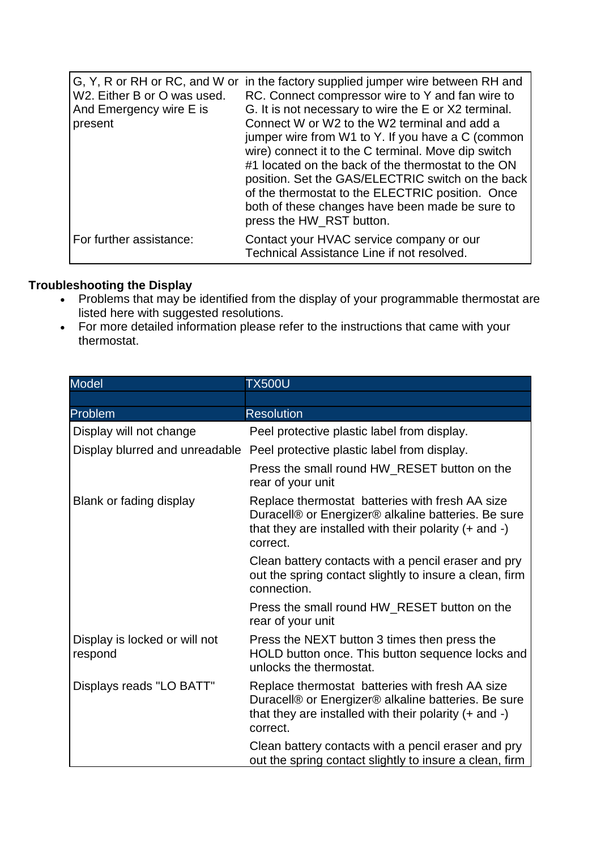| W2. Either B or O was used.<br>And Emergency wire E is<br>present | G, Y, R or RH or RC, and W or in the factory supplied jumper wire between RH and<br>RC. Connect compressor wire to Y and fan wire to<br>G. It is not necessary to wire the E or X2 terminal.<br>Connect W or W2 to the W2 terminal and add a<br>jumper wire from W1 to Y. If you have a C (common<br>wire) connect it to the C terminal. Move dip switch<br>#1 located on the back of the thermostat to the ON<br>position. Set the GAS/ELECTRIC switch on the back<br>of the thermostat to the ELECTRIC position. Once<br>both of these changes have been made be sure to<br>press the HW_RST button. |
|-------------------------------------------------------------------|--------------------------------------------------------------------------------------------------------------------------------------------------------------------------------------------------------------------------------------------------------------------------------------------------------------------------------------------------------------------------------------------------------------------------------------------------------------------------------------------------------------------------------------------------------------------------------------------------------|
| For further assistance:                                           | Contact your HVAC service company or our<br>Technical Assistance Line if not resolved.                                                                                                                                                                                                                                                                                                                                                                                                                                                                                                                 |

## **Troubleshooting the Display**

- Problems that may be identified from the display of your programmable thermostat are listed here with suggested resolutions.
- For more detailed information please refer to the instructions that came with your thermostat.

| <b>Model</b>                             | <b>TX500U</b>                                                                                                                                                                    |
|------------------------------------------|----------------------------------------------------------------------------------------------------------------------------------------------------------------------------------|
|                                          |                                                                                                                                                                                  |
| <b>Problem</b>                           | <b>Resolution</b>                                                                                                                                                                |
| Display will not change                  | Peel protective plastic label from display.                                                                                                                                      |
|                                          | Display blurred and unreadable Peel protective plastic label from display.                                                                                                       |
|                                          | Press the small round HW_RESET button on the<br>rear of your unit                                                                                                                |
| Blank or fading display                  | Replace thermostat batteries with fresh AA size<br>Duracell® or Energizer® alkaline batteries. Be sure<br>that they are installed with their polarity $(+)$ and $-)$<br>correct. |
|                                          | Clean battery contacts with a pencil eraser and pry<br>out the spring contact slightly to insure a clean, firm<br>connection.                                                    |
|                                          | Press the small round HW_RESET button on the<br>rear of your unit                                                                                                                |
| Display is locked or will not<br>respond | Press the NEXT button 3 times then press the<br>HOLD button once. This button sequence locks and<br>unlocks the thermostat.                                                      |
| Displays reads "LO BATT"                 | Replace thermostat batteries with fresh AA size<br>Duracell® or Energizer® alkaline batteries. Be sure<br>that they are installed with their polarity $(+)$ and $-)$<br>correct. |
|                                          | Clean battery contacts with a pencil eraser and pry<br>out the spring contact slightly to insure a clean, firm                                                                   |